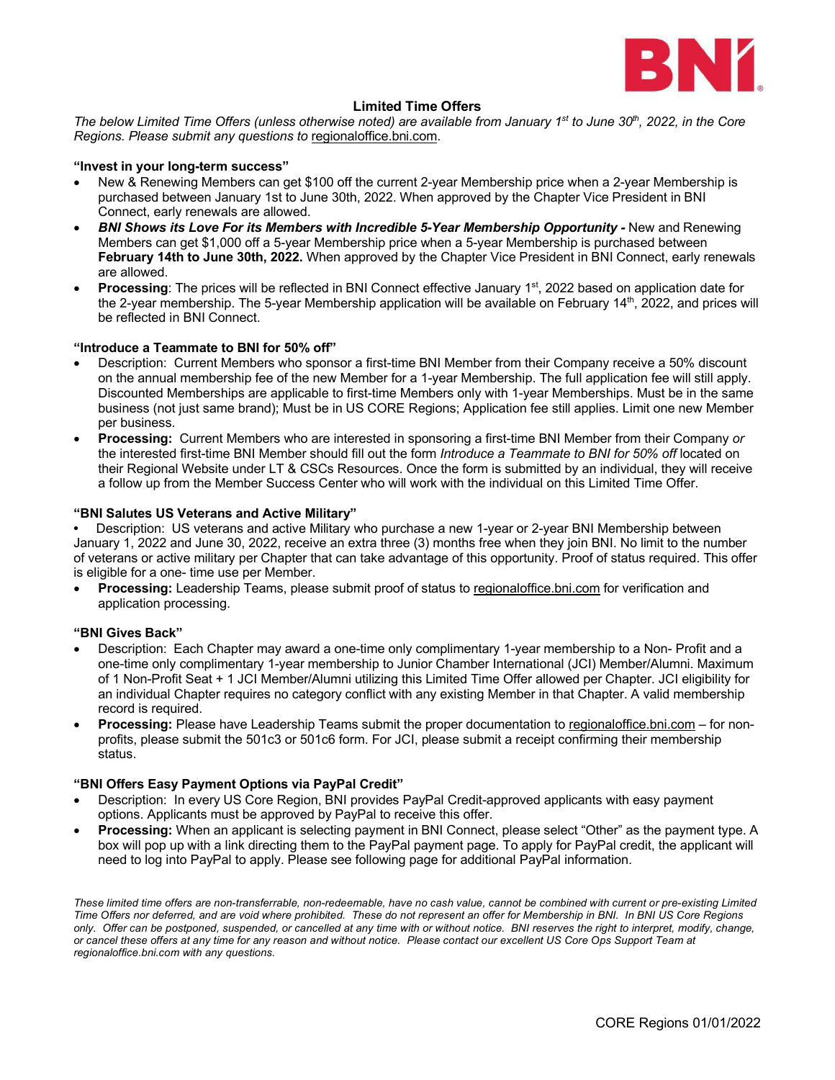

#### **Limited Time Offers**

*The below Limited Time Offers (unless otherwise noted) are available from January 1<sup>st</sup> to June 30<sup>th</sup>, 2022, in the Core Regions. Please submit any questions to* [regionaloffice.bni.com.](https://bniregionaloffice.zendesk.com/hc/en-us/requests/new)

#### **"Invest in your long-term success"**

- New & Renewing Members can get \$100 off the current 2-year Membership price when a 2-year Membership is purchased between January 1st to June 30th, 2022. When approved by the Chapter Vice President in BNI Connect, early renewals are allowed.
- *BNI Shows its Love For its Members with Incredible 5-Year Membership Opportunity -* New and Renewing Members can get \$1,000 off a 5-year Membership price when a 5-year Membership is purchased between **February 14th to June 30th, 2022.** When approved by the Chapter Vice President in BNI Connect, early renewals are allowed.
- **Processing**: The prices will be reflected in BNI Connect effective January 1<sup>st</sup>, 2022 based on application date for the 2-year membership. The 5-year Membership application will be available on February 14<sup>th</sup>, 2022, and prices will be reflected in BNI Connect.

#### **"Introduce a Teammate to BNI for 50% off"**

- Description: Current Members who sponsor a first-time BNI Member from their Company receive a 50% discount on the annual membership fee of the new Member for a 1-year Membership. The full application fee will still apply. Discounted Memberships are applicable to first-time Members only with 1-year Memberships. Must be in the same business (not just same brand); Must be in US CORE Regions; Application fee still applies. Limit one new Member per business.
- **Processing:** Current Members who are interested in sponsoring a first-time BNI Member from their Company *or* the interested first-time BNI Member should fill out the form *Introduce a Teammate to BNI for 50% off* located on their Regional Website under LT & CSCs Resources. Once the form is submitted by an individual, they will receive a follow up from the Member Success Center who will work with the individual on this Limited Time Offer.

#### **"BNI Salutes US Veterans and Active Military"**

**•** Description: US veterans and active Military who purchase a new 1-year or 2-year BNI Membership between January 1, 2022 and June 30, 2022, receive an extra three (3) months free when they join BNI. No limit to the number of veterans or active military per Chapter that can take advantage of this opportunity. Proof of status required. This offer is eligible for a one- time use per Member.

• **Processing:** Leadership Teams, please submit proof of status to [regionaloffice.bni.com](https://bniregionaloffice.zendesk.com/hc/en-us/requests/new) for verification and application processing.

#### **"BNI Gives Back"**

- Description: Each Chapter may award a one-time only complimentary 1-year membership to a Non- Profit and a one-time only complimentary 1-year membership to Junior Chamber International (JCI) Member/Alumni. Maximum of 1 Non-Profit Seat + 1 JCI Member/Alumni utilizing this Limited Time Offer allowed per Chapter. JCI eligibility for an individual Chapter requires no category conflict with any existing Member in that Chapter. A valid membership record is required.
- **Processing:** Please have Leadership Teams submit the proper documentation to [regionaloffice.bni.com](https://bniregionaloffice.zendesk.com/hc/en-us/requests/new) for nonprofits, please submit the 501c3 or 501c6 form. For JCI, please submit a receipt confirming their membership status.

#### **"BNI Offers Easy Payment Options via PayPal Credit"**

- Description: In every US Core Region, BNI provides PayPal Credit-approved applicants with easy payment options. Applicants must be approved by PayPal to receive this offer.
- **Processing:** When an applicant is selecting payment in BNI Connect, please select "Other" as the payment type. A box will pop up with a link directing them to the PayPal payment page. To apply for PayPal credit, the applicant will need to log into PayPal to apply. Please see following page for additional PayPal information.

*These limited time offers are non-transferrable, non-redeemable, have no cash value, cannot be combined with current or pre-existing Limited Time Offers nor deferred, and are void where prohibited. These do not represent an offer for Membership in BNI. In BNI US Core Regions only. Offer can be postponed, suspended, or cancelled at any time with or without notice. BNI reserves the right to interpret, modify, change, or cancel these offers at any time for any reason and without notice. Please contact our excellent US Core Ops Support Team at regionaloffice.bni.com with any questions.*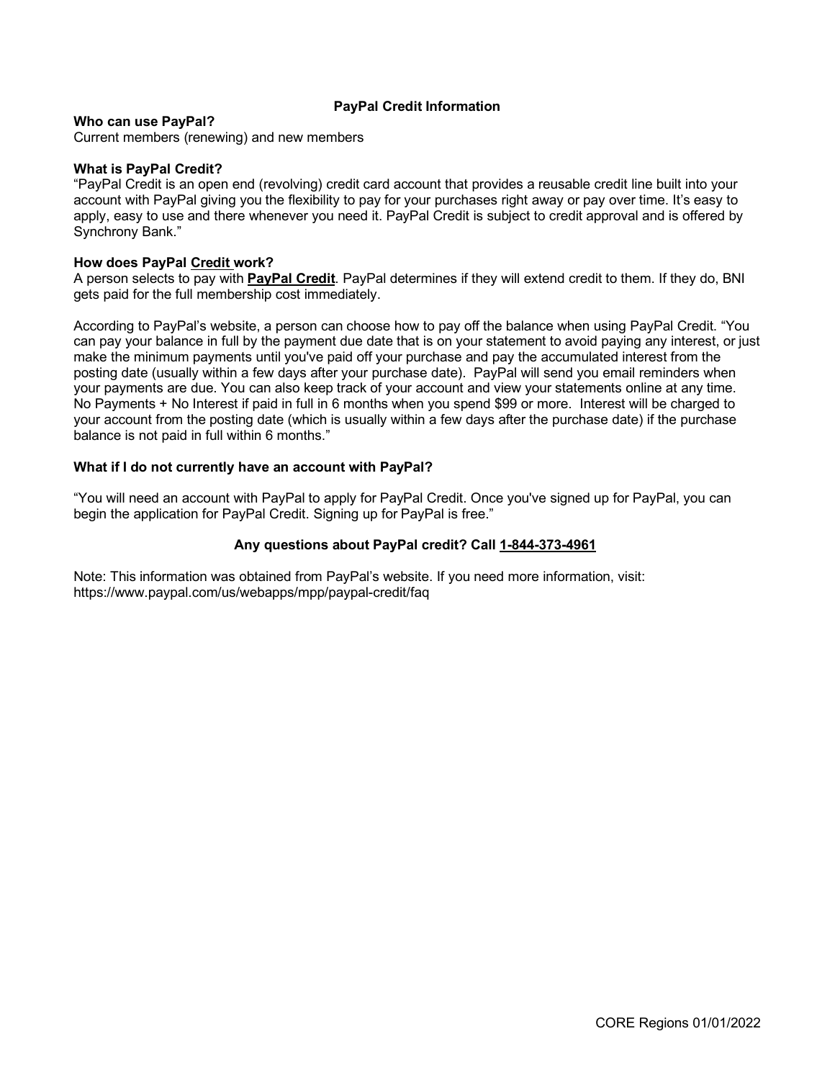#### **PayPal Credit Information**

#### **Who can use PayPal?**

Current members (renewing) and new members

#### **What is PayPal Credit?**

"PayPal Credit is an open end (revolving) credit card account that provides a reusable credit line built into your account with PayPal giving you the flexibility to pay for your purchases right away or pay over time. It's easy to apply, easy to use and there whenever you need it. PayPal Credit is subject to credit approval and is offered by Synchrony Bank."

#### **How does PayPal Credit work?**

A person selects to pay with **PayPal Credit**. PayPal determines if they will extend credit to them. If they do, BNI gets paid for the full membership cost immediately.

According to PayPal's website, a person can choose how to pay off the balance when using PayPal Credit. "You can pay your balance in full by the payment due date that is on your statement to avoid paying any interest, or just make the minimum payments until you've paid off your purchase and pay the accumulated interest from the posting date (usually within a few days after your purchase date). PayPal will send you email reminders when your payments are due. You can also keep track of your account and view your statements online at any time. No Payments + No Interest if paid in full in 6 months when you spend \$99 or more. Interest will be charged to your account from the posting date (which is usually within a few days after the purchase date) if the purchase balance is not paid in full within 6 months."

#### **What if I do not currently have an account with PayPal?**

"You will need an account with PayPal to apply for PayPal Credit. Once you've signed up for PayPal, you can begin the application for PayPal Credit. Signing up for PayPal is free."

#### **Any questions about PayPal credit? Call [1-844-373-4961](tel:1-844-373-4961)**

Note: This information was obtained from PayPal's website. If you need more information, visit: https://www.paypal.com/us/webapps/mpp/paypal-credit/faq